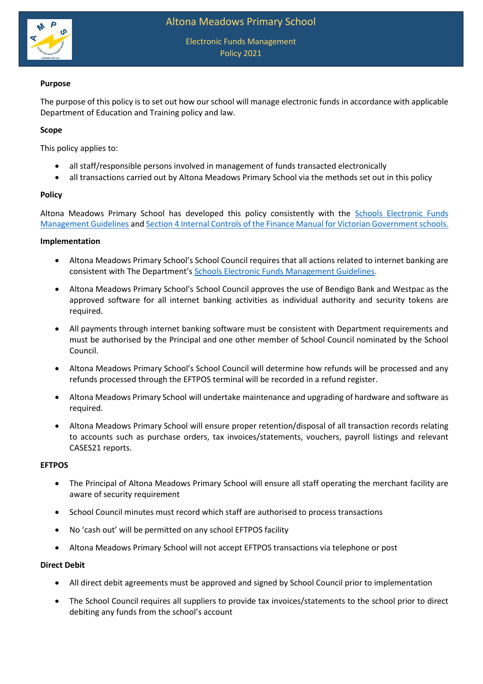

Electronic Funds Management Policy 2021

# **Purpose**

The purpose of this policy is to set out how our school will manage electronic funds in accordance with applicable Department of Education and Training policy and law.

## **Scope**

This policy applies to:

- all staff/responsible persons involved in management of funds transacted electronically
- all transactions carried out by Altona Meadows Primary School via the methods set out in this policy

## **Policy**

Altona Meadows Primary School has developed this policy consistently with the [Schools Electronic Funds](http://www.education.vic.gov.au/Documents/school/principals/finance/Fin%20Schools%20Electronic%20Funds%20Management%20Guidelines%20V1_2.pdf)  [Management Guidelines](http://www.education.vic.gov.au/Documents/school/principals/finance/Fin%20Schools%20Electronic%20Funds%20Management%20Guidelines%20V1_2.pdf) an[d Section 4 Internal Controls](https://www2.education.vic.gov.au/pal/internal-controls-finance-manual-section-4/policy) of the Finance Manual for Victorian Government schools.

#### **Implementation**

- Altona Meadows Primary School's School Council requires that all actions related to internet banking are consistent with The Department's [Schools Electronic Funds Management Guidelines](http://www.education.vic.gov.au/Documents/school/principals/finance/Fin%20Schools%20Electronic%20Funds%20Management%20Guidelines%20V1_2.pdf).
- Altona Meadows Primary School's School Council approves the use of Bendigo Bank and Westpac as the approved software for all internet banking activities as individual authority and security tokens are required.
- All payments through internet banking software must be consistent with Department requirements and must be authorised by the Principal and one other member of School Council nominated by the School Council.
- Altona Meadows Primary School's School Council will determine how refunds will be processed and any refunds processed through the EFTPOS terminal will be recorded in a refund register.
- Altona Meadows Primary School will undertake maintenance and upgrading of hardware and software as required.
- Altona Meadows Primary School will ensure proper retention/disposal of all transaction records relating to accounts such as purchase orders, tax invoices/statements, vouchers, payroll listings and relevant CASES21 reports.

## **EFTPOS**

- The Principal of Altona Meadows Primary School will ensure all staff operating the merchant facility are aware of security requirement
- School Council minutes must record which staff are authorised to process transactions
- No 'cash out' will be permitted on any school EFTPOS facility
- Altona Meadows Primary School will not accept EFTPOS transactions via telephone or post

## **Direct Debit**

- All direct debit agreements must be approved and signed by School Council prior to implementation
- The School Council requires all suppliers to provide tax invoices/statements to the school prior to direct debiting any funds from the school's account